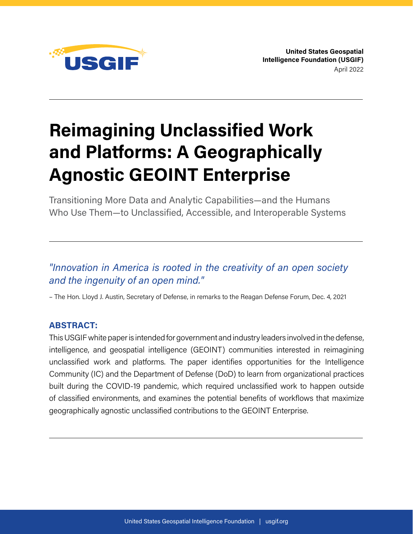

**United States Geospatial Intelligence Foundation (USGIF)**  April 2022

# **Reimagining Unclassified Work and Platforms: A Geographically Agnostic GEOINT Enterprise**

Transitioning More Data and Analytic Capabilities—and the Humans Who Use Them—to Unclassified, Accessible, and Interoperable Systems

# *"Innovation in America is rooted in the creativity of an open society and the ingenuity of an open mind."*

– The Hon. Lloyd J. Austin, Secretary of Defense, in remarks to the Reagan Defense Forum, Dec. 4, 2021

## **ABSTRACT:**

This USGIF white paper is intended for government and industry leaders involved in the defense, intelligence, and geospatial intelligence (GEOINT) communities interested in reimagining unclassified work and platforms. The paper identifies opportunities for the Intelligence Community (IC) and the Department of Defense (DoD) to learn from organizational practices built during the COVID-19 pandemic, which required unclassified work to happen outside of classified environments, and examines the potential benefits of workflows that maximize geographically agnostic unclassified contributions to the GEOINT Enterprise.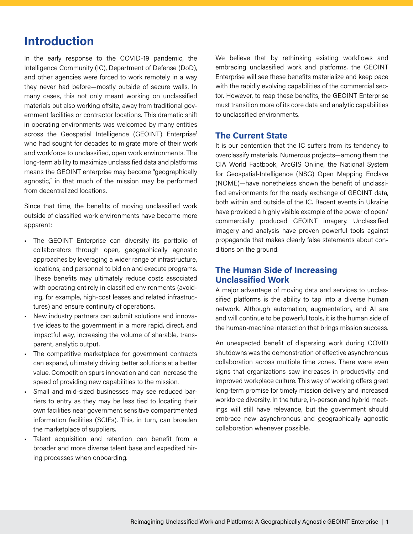# **Introduction**

In the early response to the COVID-19 pandemic, the Intelligence Community (IC), Department of Defense (DoD), and other agencies were forced to work remotely in a way they never had before—mostly outside of secure walls. In many cases, this not only meant working on unclassified materials but also working offsite, away from traditional government facilities or contractor locations. This dramatic shift in operating environments was welcomed by many entities across the Geospatial Intelligence (GEOINT) Enterprise<sup>1</sup> who had sought for decades to migrate more of their work and workforce to unclassified, open work environments. The long-term ability to maximize unclassified data and platforms means the GEOINT enterprise may become "geographically agnostic," in that much of the mission may be performed from decentralized locations.

Since that time, the benefits of moving unclassified work outside of classified work environments have become more apparent:

- The GEOINT Enterprise can diversify its portfolio of collaborators through open, geographically agnostic approaches by leveraging a wider range of infrastructure, locations, and personnel to bid on and execute programs. These benefits may ultimately reduce costs associated with operating entirely in classified environments (avoiding, for example, high-cost leases and related infrastructures) and ensure continuity of operations.
- New industry partners can submit solutions and innovative ideas to the government in a more rapid, direct, and impactful way, increasing the volume of sharable, transparent, analytic output.
- The competitive marketplace for government contracts can expand, ultimately driving better solutions at a better value. Competition spurs innovation and can increase the speed of providing new capabilities to the mission.
- Small and mid-sized businesses may see reduced barriers to entry as they may be less tied to locating their own facilities near government sensitive compartmented information facilities (SCIFs). This, in turn, can broaden the marketplace of suppliers.
- Talent acquisition and retention can benefit from a broader and more diverse talent base and expedited hiring processes when onboarding.

We believe that by rethinking existing workflows and embracing unclassified work and platforms, the GEOINT Enterprise will see these benefits materialize and keep pace with the rapidly evolving capabilities of the commercial sector. However, to reap these benefits, the GEOINT Enterprise must transition more of its core data and analytic capabilities to unclassified environments.

#### **The Current State**

It is our contention that the IC suffers from its tendency to overclassify materials. Numerous projects—among them the CIA World Factbook, ArcGIS Online, the National System for Geospatial-Intelligence (NSG) Open Mapping Enclave (NOME)—have nonetheless shown the benefit of unclassified environments for the ready exchange of GEOINT data, both within and outside of the IC. Recent events in Ukraine have provided a highly visible example of the power of open/ commercially produced GEOINT imagery. Unclassified imagery and analysis have proven powerful tools against propaganda that makes clearly false statements about conditions on the ground.

## **The Human Side of Increasing Unclassified Work**

A major advantage of moving data and services to unclassified platforms is the ability to tap into a diverse human network. Although automation, augmentation, and AI are and will continue to be powerful tools, it is the human side of the human-machine interaction that brings mission success.

An unexpected benefit of dispersing work during COVID shutdowns was the demonstration of effective asynchronous collaboration across multiple time zones. There were even signs that organizations saw increases in productivity and improved workplace culture. This way of working offers great long-term promise for timely mission delivery and increased workforce diversity. In the future, in-person and hybrid meetings will still have relevance, but the government should embrace new asynchronous and geographically agnostic collaboration whenever possible.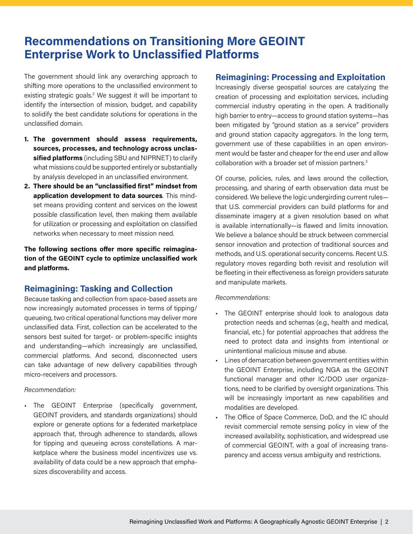# **Recommendations on Transitioning More GEOINT Enterprise Work to Unclassified Platforms**

The government should link any overarching approach to shifting more operations to the unclassified environment to existing strategic goals.<sup>2</sup> We suggest it will be important to identify the intersection of mission, budget, and capability to solidify the best candidate solutions for operations in the unclassified domain.

- **1. The government should assess requirements, sources, processes, and technology across unclassified platforms** (including SBU and NIPRNET) to clarify what missions could be supported entirely or substantially by analysis developed in an unclassified environment.
- **2. There should be an "unclassified first" mindset from application development to data sources**. This mindset means providing content and services on the lowest possible classification level, then making them available for utilization or processing and exploitation on classified networks when necessary to meet mission need.

**The following sections offer more specific reimagination of the GEOINT cycle to optimize unclassified work and platforms.**

# **Reimagining: Tasking and Collection**

Because tasking and collection from space-based assets are now increasingly automated processes in terms of tipping/ queueing, two critical operational functions may deliver more unclassified data. First, collection can be accelerated to the sensors best suited for target- or problem-specific insights and understanding—which increasingly are unclassified, commercial platforms. And second, disconnected users can take advantage of new delivery capabilities through micro-receivers and processors.

#### *Recommendation:*

• The GEOINT Enterprise (specifically government, GEOINT providers, and standards organizations) should explore or generate options for a federated marketplace approach that, through adherence to standards, allows for tipping and queueing across constellations. A marketplace where the business model incentivizes use vs. availability of data could be a new approach that emphasizes discoverability and access.

## **Reimagining: Processing and Exploitation**

Increasingly diverse geospatial sources are catalyzing the creation of processing and exploitation services, including commercial industry operating in the open. A traditionally high barrier to entry—access to ground station systems—has been mitigated by "ground station as a service" providers and ground station capacity aggregators. In the long term, government use of these capabilities in an open environment would be faster and cheaper for the end user and allow collaboration with a broader set of mission partners.<sup>3</sup>

Of course, policies, rules, and laws around the collection, processing, and sharing of earth observation data must be considered. We believe the logic undergirding current rules that U.S. commercial providers can build platforms for and disseminate imagery at a given resolution based on what is available internationally—is flawed and limits innovation. We believe a balance should be struck between commercial sensor innovation and protection of traditional sources and methods, and U.S. operational security concerns. Recent U.S. regulatory moves regarding both revisit and resolution will be fleeting in their effectiveness as foreign providers saturate and manipulate markets.

#### *Recommendations:*

- The GEOINT enterprise should look to analogous data protection needs and schemas (e.g., health and medical, financial, etc.) for potential approaches that address the need to protect data and insights from intentional or unintentional malicious misuse and abuse.
- Lines of demarcation between government entities within the GEOINT Enterprise, including NGA as the GEOINT functional manager and other IC/DOD user organizations, need to be clarified by oversight organizations. This will be increasingly important as new capabilities and modalities are developed.
- The Office of Space Commerce, DoD, and the IC should revisit commercial remote sensing policy in view of the increased availability, sophistication, and widespread use of commercial GEOINT, with a goal of increasing transparency and access versus ambiguity and restrictions.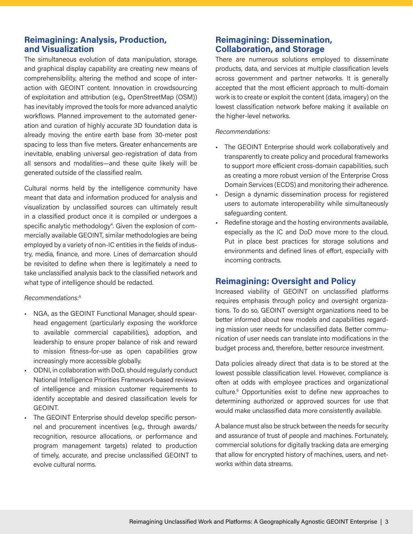## **Reimagining: Analysis, Production, and Visualization**

The simultaneous evolution of data manipulation, storage, and graphical display capability are creating new means of comprehensibility, altering the method and scope of interaction with GEOINT content. Innovation in crowdsourcing of exploitation and attribution (e.g., OpenStreetMap (OSM)) has inevitably improved the tools for more advanced analytic workflows. Planned improvement to the automated generation and curation of highly accurate 3D foundation data is already moving the entire earth base from 30-meter post spacing to less than five meters. Greater enhancements are inevitable, enabling universal geo-registration of data from all sensors and modalities—and these quite likely will be generated outside of the classified realm.

Cultural norms held by the intelligence community have meant that data and information produced for analysis and visualization by unclassified sources can ultimately result in a classified product once it is compiled or undergoes a specific analytic methodology<sup>4</sup>. Given the explosion of commercially available GEOINT, similar methodologies are being employed by a variety of non-IC entities in the fields of industry, media, finance, and more. Lines of demarcation should be revisited to define when there is legitimately a need to take unclassified analysis back to the classified network and what type of intelligence should be redacted.

#### *Recommendations:*<sup>5</sup>

- NGA, as the GEOINT Functional Manager, should spearhead engagement (particularly exposing the workforce to available commercial capabilities), adoption, and leadership to ensure proper balance of risk and reward to mission fitness-for-use as open capabilities grow increasingly more accessible globally.
- ODNI, in collaboration with DoD, should regularly conduct National Intelligence Priorities Framework-based reviews of intelligence and mission customer requirements to identify acceptable and desired classification levels for GEOINT.
- The GEOINT Enterprise should develop specific personnel and procurement incentives (e.g., through awards/ recognition, resource allocations, or performance and program management targets) related to production of timely, accurate, and precise unclassified GEOINT to evolve cultural norms.

# **Reimagining: Dissemination, Collaboration, and Storage**

There are numerous solutions employed to disseminate products, data, and services at multiple classification levels across government and partner networks. It is generally accepted that the most efficient approach to multi-domain work is to create or exploit the content (data, imagery) on the lowest classification network before making it available on the higher-level networks.

#### *Recommendations:*

- The GEOINT Enterprise should work collaboratively and transparently to create policy and procedural frameworks to support more efficient cross-domain capabilities, such as creating a more robust version of the Enterprise Cross Domain Services (ECDS) and monitoring their adherence.
- Design a dynamic dissemination process for registered users to automate interoperability while simultaneously safeguarding content.
- Redefine storage and the hosting environments available, especially as the IC and DoD move more to the cloud. Put in place best practices for storage solutions and environments and defined lines of effort, especially with incoming contracts.

## **Reimagining: Oversight and Policy**

Increased viability of GEOINT on unclassified platforms requires emphasis through policy and oversight organizations. To do so, GEOINT oversight organizations need to be better informed about new models and capabilities regarding mission user needs for unclassified data. Better communication of user needs can translate into modifications in the budget process and, therefore, better resource investment.

Data policies already direct that data is to be stored at the lowest possible classification level. However, compliance is often at odds with employee practices and organizational culture.<sup>6</sup> Opportunities exist to define new approaches to determining authorized or approved sources for use that would make unclassified data more consistently available.

A balance must also be struck between the needs for security and assurance of trust of people and machines. Fortunately, commercial solutions for digitally tracking data are emerging that allow for encrypted history of machines, users, and networks within data streams.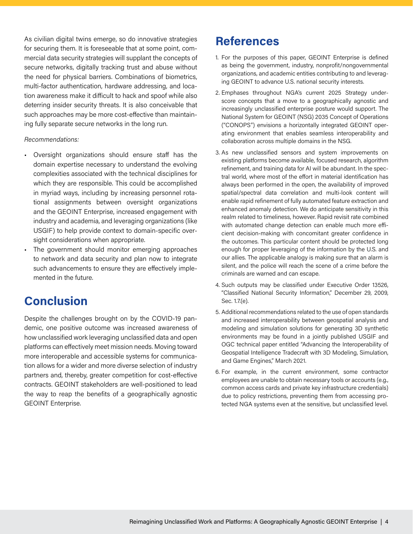As civilian digital twins emerge, so do innovative strategies for securing them. It is foreseeable that at some point, commercial data security strategies will supplant the concepts of secure networks, digitally tracking trust and abuse without the need for physical barriers. Combinations of biometrics, multi-factor authentication, hardware addressing, and location awareness make it difficult to hack and spoof while also deterring insider security threats. It is also conceivable that such approaches may be more cost-effective than maintaining fully separate secure networks in the long run.

#### *Recommendations:*

- Oversight organizations should ensure staff has the domain expertise necessary to understand the evolving complexities associated with the technical disciplines for which they are responsible. This could be accomplished in myriad ways, including by increasing personnel rotational assignments between oversight organizations and the GEOINT Enterprise, increased engagement with industry and academia, and leveraging organizations (like USGIF) to help provide context to domain-specific oversight considerations when appropriate.
- The government should monitor emerging approaches to network and data security and plan now to integrate such advancements to ensure they are effectively implemented in the future.

# **Conclusion**

Despite the challenges brought on by the COVID-19 pandemic, one positive outcome was increased awareness of how unclassified work leveraging unclassified data and open platforms can effectively meet mission needs. Moving toward more interoperable and accessible systems for communication allows for a wider and more diverse selection of industry partners and, thereby, greater competition for cost-effective contracts. GEOINT stakeholders are well-positioned to lead the way to reap the benefits of a geographically agnostic GEOINT Enterprise.

# **References**

- 1. For the purposes of this paper, GEOINT Enterprise is defined as being the government, industry, nonprofit/nongovernmental organizations, and academic entities contributing to and leveraging GEOINT to advance U.S. national security interests.
- 2. Emphases throughout NGA's current 2025 Strategy underscore concepts that a move to a geographically agnostic and increasingly unclassified enterprise posture would support. The National System for GEOINT (NSG) 2035 Concept of Operations ("CONOPS") envisions a horizontally integrated GEOINT operating environment that enables seamless interoperability and collaboration across multiple domains in the NSG.
- 3. As new unclassified sensors and system improvements on existing platforms become available, focused research, algorithm refinement, and training data for AI will be abundant. In the spectral world, where most of the effort in material identification has always been performed in the open, the availability of improved spatial/spectral data correlation and multi-look content will enable rapid refinement of fully automated feature extraction and enhanced anomaly detection. We do anticipate sensitivity in this realm related to timeliness, however. Rapid revisit rate combined with automated change detection can enable much more efficient decision-making with concomitant greater confidence in the outcomes. This particular content should be protected long enough for proper leveraging of the information by the U.S. and our allies. The applicable analogy is making sure that an alarm is silent, and the police will reach the scene of a crime before the criminals are warned and can escape.
- 4. Such outputs may be classified under Executive Order 13526, "Classified National Security Information," December 29, 2009, Sec. 1.7.(e).
- 5. Additional recommendations related to the use of open standards and increased interoperability between geospatial analysis and modeling and simulation solutions for generating 3D synthetic environments may be found in a jointly published USGIF and OGC technical paper entitled "Advancing the Interoperability of Geospatial Intelligence Tradecraft with 3D Modeling, Simulation, and Game Engines," March 2021.
- 6. For example, in the current environment, some contractor employees are unable to obtain necessary tools or accounts (e.g., common access cards and private key infrastructure credentials) due to policy restrictions, preventing them from accessing protected NGA systems even at the sensitive, but unclassified level.